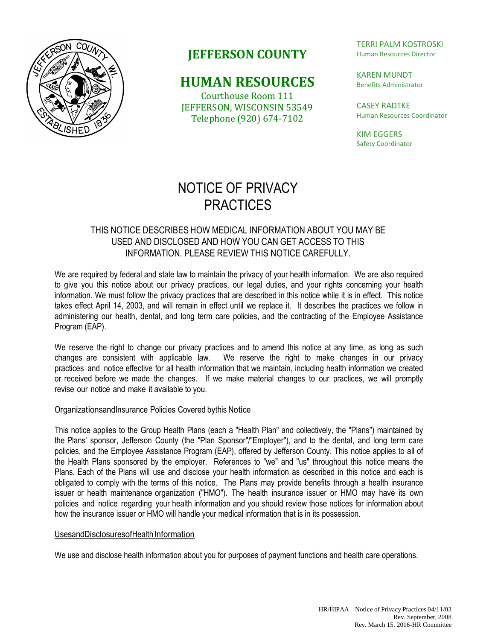

# **JEFFERSON COUNTY**

## **HUMAN RESOURCES**

Courthouse Room 111 JEFFERSON, WISCONSIN 53549 Telephone (920) 674-7102

TERRI PALM KOSTROSKI Human Resources Director

KAREN MUNDT Benefits Administrator

CASEY RADTKE Human Resources Coordinator

KIM EGGERS Safety Coordinator

# NOTICE OF PRIVACY **PRACTICES**

## THIS NOTICE DESCRIBES HOW MEDICAL INFORMATION ABOUT YOU MAY BE USED AND DISCLOSED AND HOW YOU CAN GET ACCESS TO THIS INFORMATION. PLEASE REVIEW THIS NOTICE CAREFULLY.

We are required by federal and state law to maintain the privacy of your health information. We are also required to give you this notice about our privacy practices, our legal duties, and your rights concerning your health information. We must follow the privacy practices that are described in this notice while it is in effect. This notice takes effect April 14, 2003, and will remain in effect until we replace it. It describes the practices we follow in administering our health, dental, and long term care policies, and the contracting of the Employee Assistance Program (EAP).

We reserve the right to change our privacy practices and to amend this notice at any time, as long as such changes are consistent with applicable law. We reserve the right to make changes in our privacy practices and notice effective for all health information that we maintain, including health information we created or received before we made the changes. If we make material changes to our practices, we will promptly revise our notice and make it available to you.

### OrganizationsandInsurance Policies Covered bythis Notice

This notice applies to the Group Health Plans (each a "Health Plan" and collectively, the "Plans") maintained by the Plans' sponsor, Jefferson County (the "Plan Sponsor"/"Employer"), and to the dental, and long term care policies, and the Employee Assistance Program (EAP), offered by Jefferson County. This notice applies to all of the Health Plans sponsored by the employer. References to "we" and "us" throughout this notice means the Plans. Each of the Plans will use and disclose your health information as described in this notice and each is obligated to comply with the terms of this notice. The Plans may provide benefits through a health insurance issuer or health maintenance organization ("HMO"). The health insurance issuer or HMO may have its own policies and notice regarding your health information and you should review those notices for information about how the insurance issuer or HMO will handle your medical information that is in its possession.

#### UsesandDisclosuresofHealth Information

We use and disclose health information about you for purposes of payment functions and health care operations.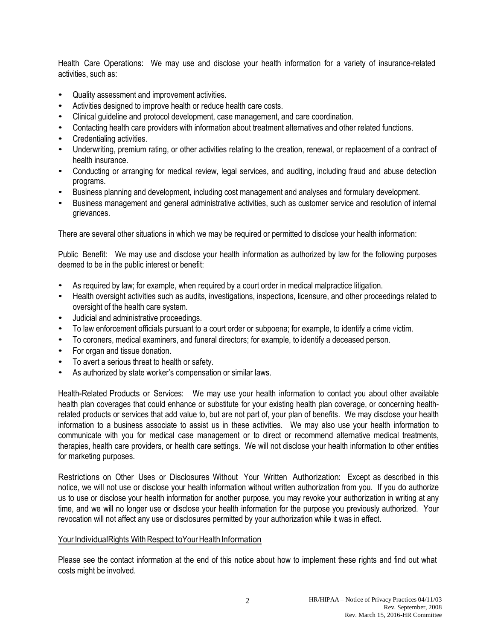Health Care Operations: We may use and disclose your health information for a variety of insurance-related activities, such as:

- Quality assessment and improvement activities.
- Activities designed to improve health or reduce health care costs.
- Clinical guideline and protocol development, case management, and care coordination.
- Contacting health care providers with information about treatment alternatives and other related functions.
- Credentialing activities.
- Underwriting, premium rating, or other activities relating to the creation, renewal, or replacement of a contract of health insurance.
- Conducting or arranging for medical review, legal services, and auditing, including fraud and abuse detection programs.
- Business planning and development, including cost management and analyses and formulary development.
- Business management and general administrative activities, such as customer service and resolution of internal grievances.

There are several other situations in which we may be required or permitted to disclose your health information:

Public Benefit: We may use and disclose your health information as authorized by law for the following purposes deemed to be in the public interest or benefit:

- As required by law; for example, when required by a court order in medical malpractice litigation.
- Health oversight activities such as audits, investigations, inspections, licensure, and other proceedings related to oversight of the health care system.
- Judicial and administrative proceedings.
- To law enforcement officials pursuant to a court order or subpoena; for example, to identify a crime victim.
- To coroners, medical examiners, and funeral directors; for example, to identify a deceased person.
- For organ and tissue donation.
- To avert a serious threat to health or safety.
- As authorized by state worker's compensation or similar laws.

Health-Related Products or Services: We may use your health information to contact you about other available health plan coverages that could enhance or substitute for your existing health plan coverage, or concerning healthrelated products or services that add value to, but are not part of, your plan of benefits. We may disclose your health information to a business associate to assist us in these activities. We may also use your health information to communicate with you for medical case management or to direct or recommend alternative medical treatments, therapies, health care providers, or health care settings. We will not disclose your health information to other entities for marketing purposes.

Restrictions on Other Uses or Disclosures Without Your Written Authorization: Except as described in this notice, we will not use or disclose your health information without written authorization from you. If you do authorize us to use or disclose your health information for another purpose, you may revoke your authorization in writing at any time, and we will no longer use or disclose your health information for the purpose you previously authorized. Your revocation will not affect any use or disclosures permitted by your authorization while it was in effect.

#### Your IndividualRights With Respect to Your Health Information

Please see the contact information at the end of this notice about how to implement these rights and find out what costs might be involved.